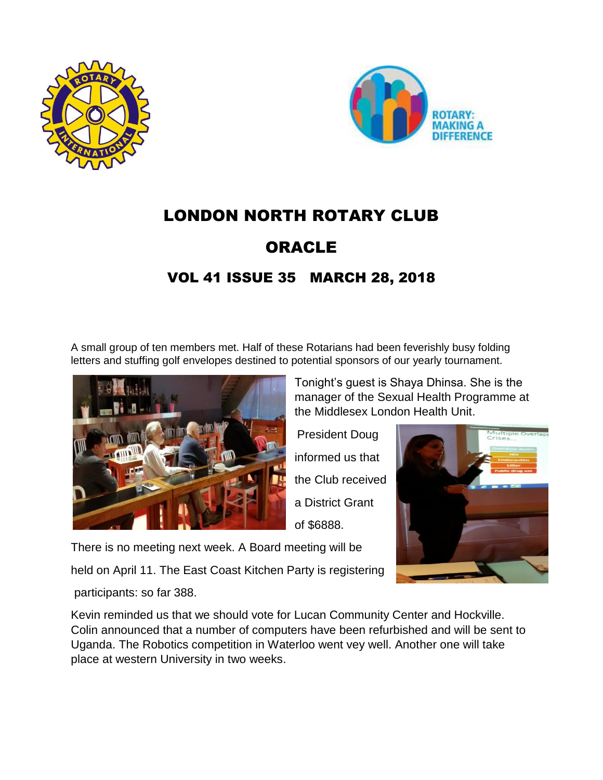



# LONDON NORTH ROTARY CLUB

## ORACLE

## VOL 41 ISSUE 35 MARCH 28, 2018

A small group of ten members met. Half of these Rotarians had been feverishly busy folding letters and stuffing golf envelopes destined to potential sponsors of our yearly tournament.



Tonight's guest is Shaya Dhinsa. She is the manager of the Sexual Health Programme at the Middlesex London Health Unit.

President Doug informed us that the Club received a District Grant of \$6888.



There is no meeting next week. A Board meeting will be

held on April 11. The East Coast Kitchen Party is registering

participants: so far 388.

Kevin reminded us that we should vote for Lucan Community Center and Hockville. Colin announced that a number of computers have been refurbished and will be sent to Uganda. The Robotics competition in Waterloo went vey well. Another one will take place at western University in two weeks.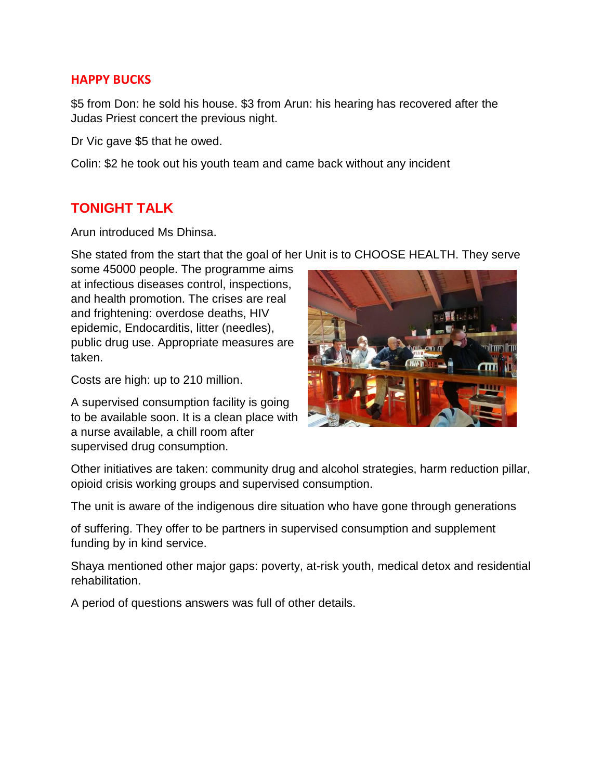#### **HAPPY BUCKS**

\$5 from Don: he sold his house. \$3 from Arun: his hearing has recovered after the Judas Priest concert the previous night.

Dr Vic gave \$5 that he owed.

Colin: \$2 he took out his youth team and came back without any incident

### **TONIGHT TALK**

Arun introduced Ms Dhinsa.

She stated from the start that the goal of her Unit is to CHOOSE HEALTH. They serve

some 45000 people. The programme aims at infectious diseases control, inspections, and health promotion. The crises are real and frightening: overdose deaths, HIV epidemic, Endocarditis, litter (needles), public drug use. Appropriate measures are taken.

Costs are high: up to 210 million.

A supervised consumption facility is going to be available soon. It is a clean place with a nurse available, a chill room after supervised drug consumption.



Other initiatives are taken: community drug and alcohol strategies, harm reduction pillar, opioid crisis working groups and supervised consumption.

The unit is aware of the indigenous dire situation who have gone through generations

of suffering. They offer to be partners in supervised consumption and supplement funding by in kind service.

Shaya mentioned other major gaps: poverty, at-risk youth, medical detox and residential rehabilitation.

A period of questions answers was full of other details.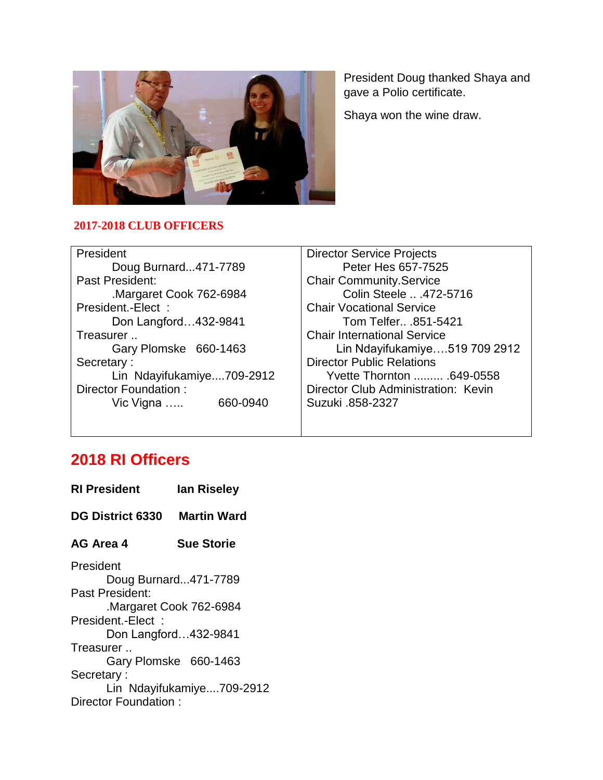

President Doug thanked Shaya and gave a Polio certificate.

Shaya won the wine draw.

#### **2017-2018 CLUB OFFICERS**

| President                 | <b>Director Service Projects</b>    |
|---------------------------|-------------------------------------|
| Doug Burnard471-7789      | Peter Hes 657-7525                  |
| Past President:           | <b>Chair Community.Service</b>      |
| Margaret Cook 762-6984    | Colin Steele  . 472-5716            |
| President.-Elect:         | <b>Chair Vocational Service</b>     |
| Don Langford432-9841      | Tom Telfer .851-5421                |
| Treasurer                 | <b>Chair International Service</b>  |
| Gary Plomske 660-1463     | Lin Ndayifukamiye519 709 2912       |
| Secretary:                | <b>Director Public Relations</b>    |
| Lin Ndayifukamiye709-2912 | Yvette Thornton  .649-0558          |
| Director Foundation:      | Director Club Administration: Kevin |
| 660-0940<br>Vic Vigna …   | Suzuki .858-2327                    |
|                           |                                     |

## **2018 RI Officers**

| <b>RI President</b>                         | lan Riseley               |
|---------------------------------------------|---------------------------|
| <b>DG District 6330</b>                     | <b>Martin Ward</b>        |
| AG Area 4                                   | <b>Sue Storie</b>         |
| President<br>Doug Burnard471-7789           |                           |
| Past President:                             |                           |
| Margaret Cook 762-6984<br>President.-Elect: |                           |
| Don Langford432-9841<br>Treasurer           |                           |
|                                             | Gary Plomske 660-1463     |
| Secretary:                                  |                           |
|                                             | Lin Ndayifukamiye709-2912 |
| Director Foundation:                        |                           |